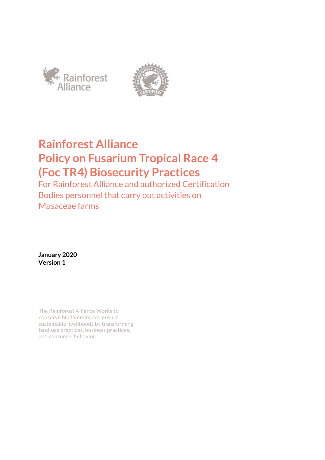



# **Rainforest Alliance Policy on Fusarium Tropical Race 4 (Foc TR4) Biosecurity Practices**

For Rainforest Alliance and authorized Certification Bodies personnel that carry out activities on Musaceae farms

**January 2020 Version 1** 

The Rainforest Alliance Works to conserve biodiversity and ensure sustainable livelihoods by transforming land-use practices, business practices, and consumer behavior.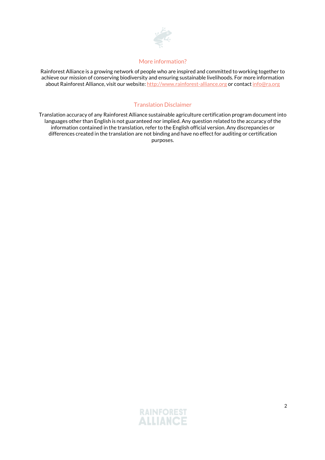

#### More information?

Rainforest Alliance is a growing network of people who are inspired and committed to working together to achieve our mission of conserving biodiversity and ensuring sustainable livelihoods. For more information about Rainforest Alliance, visit our website: http://www.rainforest-alliance.org or contact info@ra.org

### Translation Disclaimer

Translation accuracy of any Rainforest Alliance sustainable agriculture certification program document into languages other than English is not guaranteed nor implied. Any question related to the accuracy of the information contained in the translation, refer to the English official version. Any discrepancies or differences created in the translation are not binding and have no effect for auditing or certification purposes.

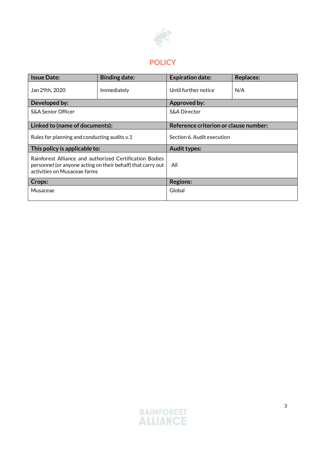

# **POLICY**

| <b>Issue Date:</b>                                                                                                                                     | <b>Binding date:</b> | <b>Expiration date:</b>               | <b>Replaces:</b> |
|--------------------------------------------------------------------------------------------------------------------------------------------------------|----------------------|---------------------------------------|------------------|
| Jan 29th, 2020                                                                                                                                         | Immediately          | Until further notice                  | N/A              |
| Developed by:                                                                                                                                          |                      | <b>Approved by:</b>                   |                  |
| <b>S&amp;A Senior Officer</b>                                                                                                                          |                      | <b>S&amp;A Director</b>               |                  |
| Linked to (name of documents):                                                                                                                         |                      | Reference criterion or clause number: |                  |
| Rules for planning and conducting audits v.1                                                                                                           |                      | Section 6. Audit execution            |                  |
| This policy is applicable to:                                                                                                                          |                      | <b>Audit types:</b>                   |                  |
| Rainforest Alliance and authorized Certification Bodies<br>personnel (or anyone acting on their behalf) that carry out<br>activities on Musaceae farms |                      | All                                   |                  |
| Crops:                                                                                                                                                 |                      | <b>Regions:</b>                       |                  |
| Musaceae                                                                                                                                               |                      | Global                                |                  |

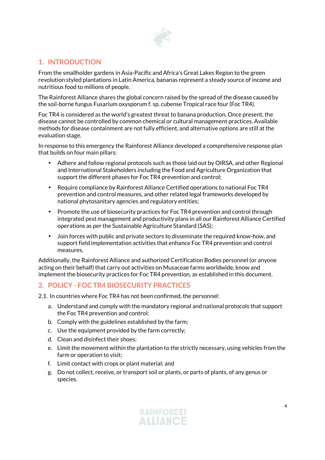

## **1. INTRODUCTION**

From the smallholder gardens in Asia-Pacific and Africa's Great Lakes Region to the green revolution styled plantations in Latin America, bananas represent a steady source of income and nutritious food to millions of people.

The Rainforest Alliance shares the global concern raised by the spread of the disease caused by the soil-borne fungus Fusarium oxysporum f. sp. cubense Tropical race four (Foc TR4).

Foc TR4 is considered as the world's greatest threat to banana production. Once present, the disease cannot be controlled by common chemical or cultural management practices. Available methods for disease containment are not fully efficient, and alternative options are still at the evaluation stage.

In response to this emergency the Rainforest Alliance developed a comprehensive response plan that builds on four main pillars:

- Adhere and follow regional protocols such as those laid out by OIRSA, and other Regional and International Stakeholders including the Food and Agriculture Organization that support the different phases for Foc TR4 prevention and control;
- Require compliance by Rainforest Alliance Certified operations to national Foc TR4 prevention and control measures, and other related legal frameworks developed by national phytosanitary agencies and regulatory entities;
- Promote the use of biosecurity practices for Foc TR4 prevention and control through integrated pest management and productivity plans in all our Rainforest Alliance Certified operations as per the Sustainable Agriculture Standard (SAS);
- Join forces with public and private sectors to disseminate the required know-how, and support field implementation activities that enhance Foc TR4 prevention and control measures.

Additionally, the Rainforest Alliance and authorized Certification Bodies personnel (or anyone acting on their behalf) that carry out activities on Musaceae farms worldwide, know and implement the biosecurity practices for Foc TR4 prevention, as established in this document.

## **2. POLICY - FOC TR4 BIOSECURITY PRACTICES**

2.1. In countries where Foc TR4 has not been confirmed, the personnel:

- a. Understand and comply with the mandatory regional and national protocols that support the Foc TR4 prevention and control;
- b. Comply with the guidelines established by the farm;
- c. Use the equipment provided by the farm correctly;
- d. Clean and disinfect their shoes;
- e. Limit the movement within the plantation to the strictly necessary, using vehicles from the farm or operation to visit;
- f. Limit contact with crops or plant material; and
- g. Do not collect, receive, or transport soil or plants, or parts of plants, of any genus or species.